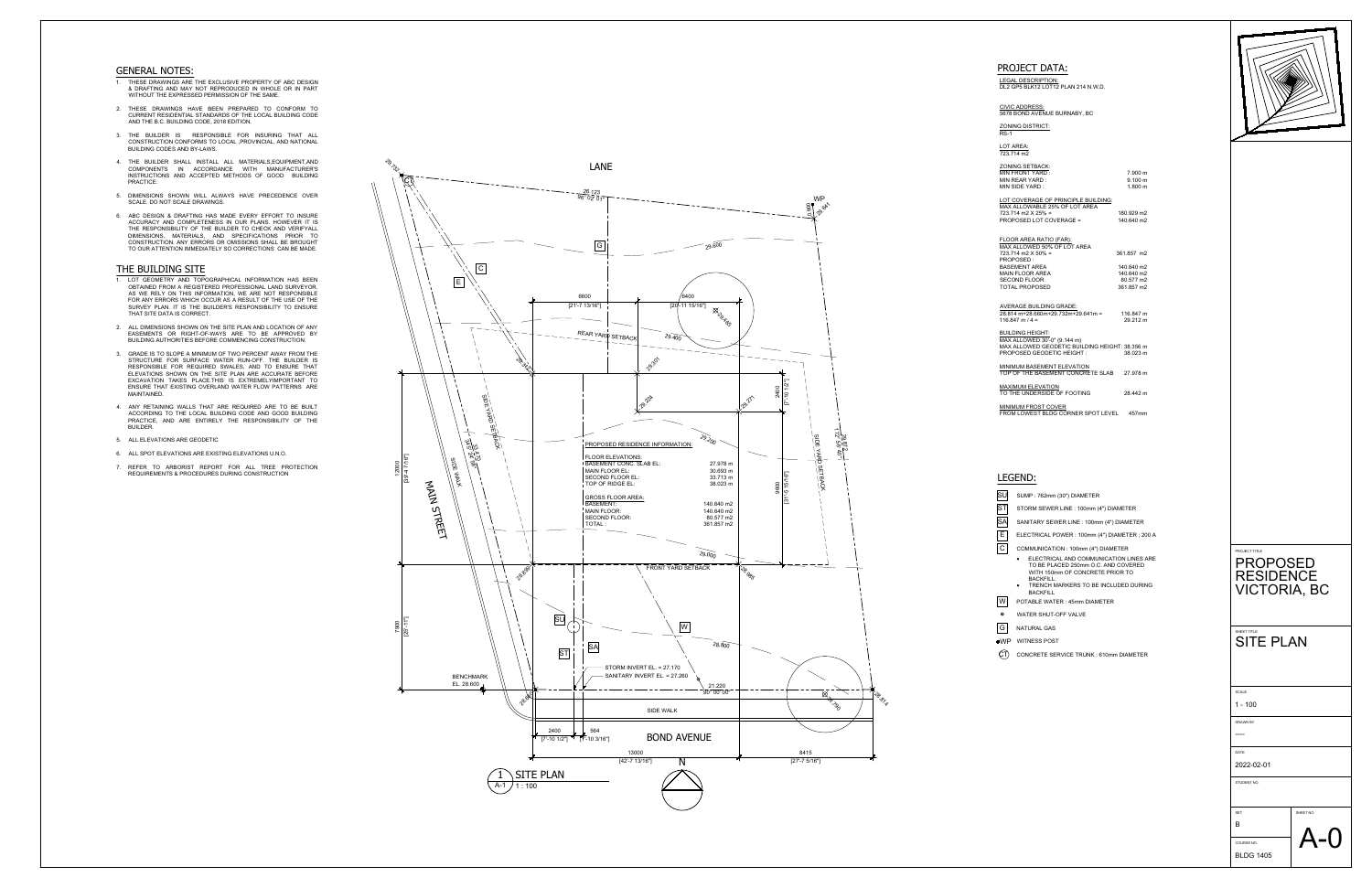LEGAL DESCRIPTION: DL2 GP5 BLK12 LOT12 PLAN 214 N.W.D.

#### CIVIC ADDRESS: 5678 BOND AVENUE BURNABY, BC

# ZONING DISTRICT:

LOT AREA:

| <b>ZONING SETBACK:</b>                         |                     |  |
|------------------------------------------------|---------------------|--|
| MIN FRONT YARD:                                | 7.900 m             |  |
| MIN REAR YARD:                                 | 9.100 m             |  |
| MIN SIDE YARD:                                 | $1.800 \; \text{m}$ |  |
|                                                |                     |  |
| LOT COVERAGE OF PRINCIPLE BUILDING:            |                     |  |
| MAX ALLOWABLE 25% OF LOT AREA                  |                     |  |
| 723.714 m2 X 25% =                             | 180.929 m2          |  |
| PROPOSED LOT COVERAGE =                        | 140.640 m2          |  |
|                                                |                     |  |
|                                                |                     |  |
| FLOOR AREA RATIO (FAR):                        |                     |  |
| MAX ALLOWED 50% OF LOT AREA                    |                     |  |
| 723.714 m2 X 50% =                             | 361.857 m2          |  |
| PROPOSED:                                      |                     |  |
| BASEMENT AREA                                  | 140.640 m2          |  |
| <b>MAIN FLOOR AREA</b>                         | 140.640 m2          |  |
| <b>SECOND FLOOR</b>                            | 80.577 m2           |  |
| <b>TOTAL PROPOSED</b>                          | 361.857 m2          |  |
|                                                |                     |  |
| <b>AVERAGE BUILDING GRADE:</b>                 |                     |  |
| 28.814 m+28.660m+29.732m+29.641m = 116.847 m   |                     |  |
| $116.847$ m $/ 4 =$                            | 29.212 m            |  |
|                                                |                     |  |
| <b>BUILDING HEIGHT:</b>                        |                     |  |
| MAX ALLOWED 30'-0" (9.144 m)                   |                     |  |
| MAX ALLOWED GEODETIC BUILDING HEIGHT: 38.356 m |                     |  |
| PROPOSED GEODETIC HEIGHT :                     | 38.023 m            |  |
|                                                |                     |  |
| <b>MINIMUM BASEMENT ELEVATION</b>              |                     |  |
| TOP OF THE BASEMENT CONCRETE SLAB 27.978 m     |                     |  |
|                                                |                     |  |
| <b>MAXIMUM ELEVATION</b>                       |                     |  |
| TO THE UNDERSIDE OF FOOTING                    | 28.442 m            |  |
|                                                |                     |  |
| <b>MINIMUM FROST COVER</b>                     |                     |  |
| FROM LOWEST BLDG CORNER SPOT LEVEL             | 457 <sub>mm</sub>   |  |

- ELECTRICAL POWER : 100mm (4") DIAMETER ; 200 A<br>
COMMUNICATION : 100mm (4") DIAMETER<br>
 ELECTRICAL AND COMMUNICATION LINES ARE<br>
TO BE PLACED 250mm O.C. AND COVERED<br>
WITH 150mm OF CONCRETE PRIOR TO<br>
BACKFILL.<br>
 TRENCH MARKE TO BE PLACED 250mm O.C. AND COVERED WITH 150mm OF CONCRETE PRIOR TO
- BACKFILL. · TRENCH MARKERS TO BE INCLUDED DURING BACKFILL

#### LEGEND:

SU SUMP : 762mm (30") DIAMETER

ST STORM SEWER LINE : 100mm (4") DIAMETER

SA SANITARY SEWER LINE : 100mm (4") DIAMETER

ELECTRICAL POWER : 100mm (4") DIAMETER ; 200 A

COMMUNICATION : 100mm (4") DIAMETER

POTABLE WATER : 45mm DIAMETER

WATER SHUT-OFF VALVE

- 
- WP WITNESS POST

 $\left( \begin{matrix} \cdot & \cdot & \cdot \\ \cdot & \cdot & \cdot & \cdot \end{matrix} \right)$  concrete service trunk : 610mm diameter



#### GENERAL NOTES:



# • ELECTRICAL AND COMMUNICATION LINES ARE<br>
TO BE PLACED 250mm O.C. AND COVERED<br>
WITH 150mm OF CONCRETE PRIOR TO<br>
BACKFILL<br>
POTABLE WATER : 45mm DIAMETER<br>
POTABLE WATER : 45mm DIAMETER<br>
NATURAL GAS<br>
NATURAL GAS RESIDENCE | VICTORIA, BC

- 1. THESE DRAWINGS ARE THE EXCLUSIVE PROPERTY OF ABC DESIGN & DRAFTING AND MAY NOT REPRODUCED IN WHOLE OR IN PART WITHOUT THE EXPRESSED PERMISSION OF THE SAME.
- 2. THESE DRAWINGS HAVE BEEN PREPARED TO CONFORM TO CURRENT RESIDENTIAL STANDARDS OFTHE LOCALBUILDING CODE AND THE B.C. BUILDING CODE, 2018 EDITION.
- 3. THE BUILDER IS RESPONSIBLE FOR INSURING THAT ALL CONSTRUCTION CONFORMS TO LOCAL ,PROVINCIAL, AND NATIONAL BUILDING CODES AND BY-LAWS.
- 4. THE BUILDER SHALL INSTALL ALL MATERIALS,EQUIPMENT,AND COMPONENTS IN ACCORDANCE WITH MANUFACTURER'S INSTRUCTIONS AND ACCEPTED METHODS OF GOOD BUILDING PRACTICE.
- 5. DIMENSIONS SHOWN WILL ALWAYS HAVE PRECEDENCE OVER SCALE. DO NOT SCALE DRAWINGS.
- 6. ABC DESIGN & DRAFTING HAS MADE EVERY EFFORT TO INSURE ACCURACY AND COMPLETENESS IN OUR PLANS. HOWEVER IT IS THE RESPONSIBILITY OF THE BUILDER TO CHECK AND VERIFYALL DIMENSIONS, MATERIALS, AND SPECIFICATIONS PRIOR TO CONSTRUCTION. ANY ERRORS OR OMISSIONS SHALL BE BROUGHT TO OUR ATTENTION IMMEDIATELY SO CORRECTIONS CAN BE MADE.

#### THE BUILDING SITE

- 1. LOT GEOMETRY AND TOPOGRAPHICAL INFORMATION HAS BEEN OBTAINED FROM A REGISTERED PROFESSIONAL LAND SURVEYOR. AS WE RELY ON THIS INFORMATION, WE ARE NOT RESPONSIBLE FOR ANY ERRORS WHICH OCCUR AS A RESULT OF THE USE OF THE SURVEY PLAN. IT IS THE BUILDER'S RESPONSIBILITY TO ENSURE THAT SITE DATA IS CORRECT.
- 2. ALL DIMENSIONS SHOWN ON THE SITE PLAN AND LOCATION OF ANY EASEMENTS OR RIGHT-OF-WAYS ARE TO BE APPROVED BY BUILDING AUTHORITIES BEFORE COMMENCING CONSTRUCTION.
- 3. GRADE IS TO SLOPE A MINIMUM OF TWO PERCENT AWAY FROM THE STRUCTURE FOR SURFACE WATER RUN-OFF. THE BUILDER IS RESPONSIBLE FOR REQUIRED SWALES, AND TO ENSURE THAT ELEVATIONS SHOWN ON THE SITE PLAN ARE ACCURATE BEFORE EXCAVATION TAKES PLACE.THIS IS EXTREMELYIMPORTANT TO ENSURE THAT EXISTING OVERLAND WATER FLOW PATTERNS ARE MAINTAINED.
- 4. ANY RETAINING WALLS THAT ARE REQUIRED ARE TO BE BUILT ACCORDING TO THE LOCAL BUILDING CODE AND GOOD BUILDING PRACTICE, AND ARE ENTIRELY THE RESPONSIBILITY OF THE BUILDER.
- 5. ALL ELEVATIONS ARE GEODETIC
- 6. ALL SPOT ELEVATIONS ARE EXISTING ELEVATIONS U.N.O.
- 7. REFER TO ARBORIST REPORT FOR ALL TREE PROTECTION<br>PEOLIPEMENTS & PROCEDURES DURING CONSTRUCTION REQUIREMENTS & PROCEDURES DURING CONSTRUCTION

# PROJECT DATA:

PROJECT TITLE

DRAWN BY

STUDENT NO.

BLDG 1405

COURSE NO.

DATE 2022-02-01



#### SHEET TITLE SITE PLAN

| <b>SCALE</b> |  |  |  |
|--------------|--|--|--|
| 100<br>4     |  |  |  |

---- 1 - 100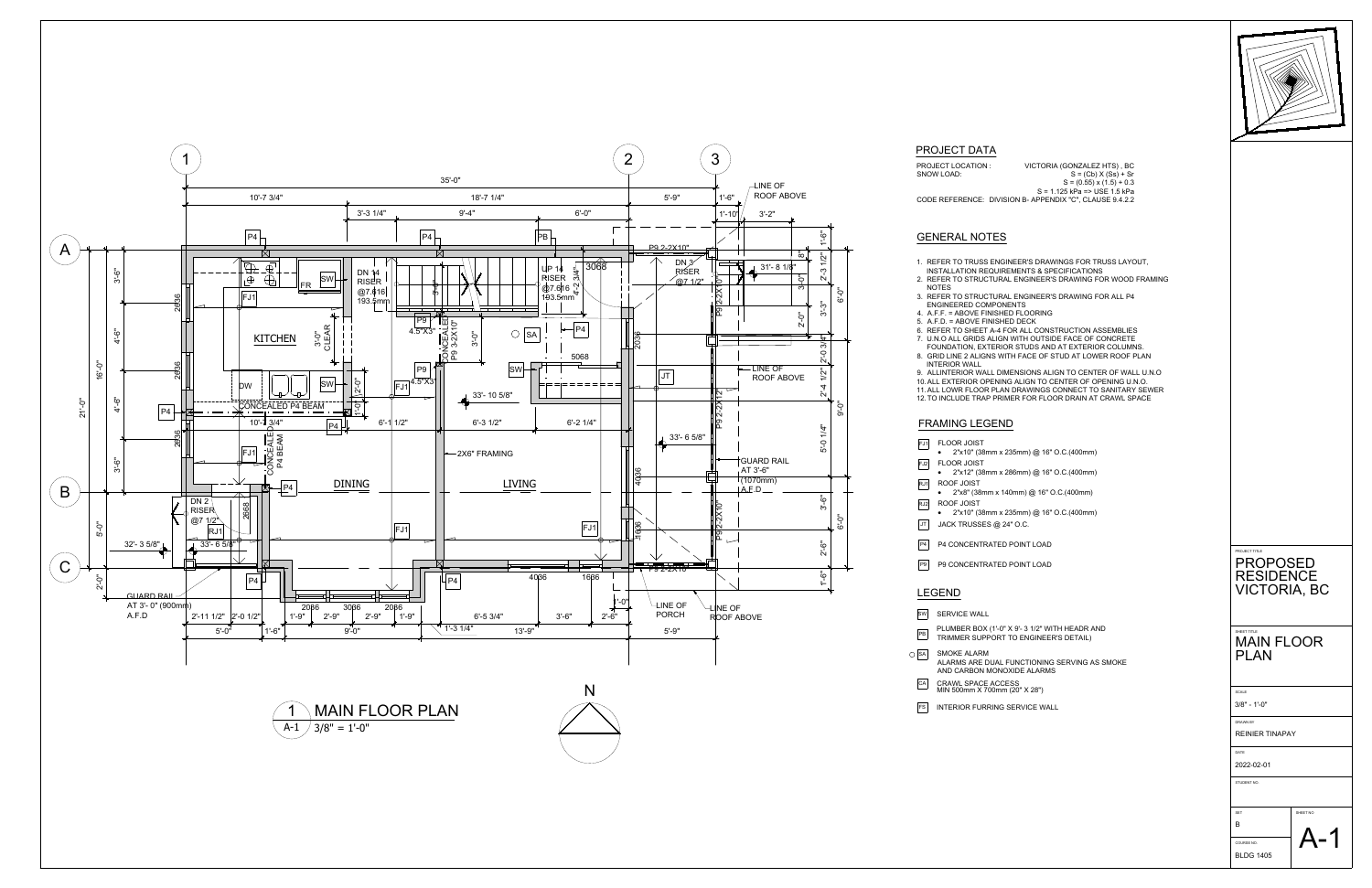

- SW SERVICE WALL **PB** PLUMBER BOX (1'-0" X 9'- 3 1/2" WITH HEADR AND<br>TRIMMER SUPPORT TO ENGINEER'S DETAIL) TRIMMER SUPPORT TO ENGINEER'S DETAIL)  $\overline{\bigcirc}$  SMOKE ALARM AND CARBON MONOXIDE ALARMS CA CRAWL SPACE ACCESS **CALL 2018** MIN 500mm X 700mm (20" X 28")
- FS INTERIOR FURRING SERVICE WALL
- 1. REFER TO TRUSS ENGINEER'S DRAWINGS FOR TRUSS LAYOUT,
- INSTALLATION REQUIREMENTS & SPECIFICATIONS 2. REFER TO STRUCTURAL ENGINEER'S DRAWING FOR WOOD FRAMING
- NOTES 3. REFER TO STRUCTURAL ENGINEER'S DRAWING FOR ALL P4
- ENGINEERED COMPONENTS
- 4. A.F.F. = ABOVE FINISHED FLOORING
- 5. A.F.D. = ABOVE FINISHED DECK 6. REFER TO SHEET A-4 FOR ALL CONSTRUCTION ASSEMBLIES
- 7. U.N.O ALL GRIDS ALIGN WITH OUTSIDE FACE OF CONCRETE
- FOUNDATION, EXTERIOR STUDS AND AT EXTERIOR COLUMNS.
- 8. GRID LINE 2 ALIGNS WITH FACE OF STUD AT LOWER ROOF PLAN INTERIOR WALL
- 9. ALLINTERIOR WALL DIMENSIONS ALIGN TO CENTER OF WALL U.N.O
- 10.ALL EXTERIOR OPENING ALIGN TO CENTER OF OPENING U.N.O. 11.ALL LOWR FLOOR PLAN DRAWINGS CONNECT TO SANITARY SEWER
- 12.TO INCLUDE TRAP PRIMER FOR FLOOR DRAIN AT CRAWL SPACE

# GENERAL NOTES

# FRAMING LEGEND

- **FJ1** FLOOR JOIST · 2"x10" (38mm x 235mm) @ 16" O.C.(400mm) **FJ2** FLOOR JOIST · 2"x12" (38mm x 286mm) @ 16" O.C.(400mm) RJ1 ROOF JOIST · 2"x8" (38mm x 140mm) @ 16" O.C.(400mm)  $\begin{array}{|c|c|c|}\n\hline\n\text{RJ2} & \text{ROOF JOIST} \\
\hline\n\end{array}$ · 2"x10" (38mm x 235mm) @ 16" O.C.(400mm)  $JT$  JACK TRUSSES @ 24" O.C. P4 CONCENTRATED POINT LOAD
- P9 P9 CONCENTRATED POINT LOAD

#### LEGEND

ALARMS ARE DUAL FUNCTIONING SERVING AS SMOKE

PROJECT LOCATION : VICTORIA (GONZALEZ HTS) , BC SNOW LOAD:  $S = (Cb) \times (Ss) + Sr$  $S = (0.55)(x(1.5) + 0.3)$ S = 1.125 kPa => USE 1.5 kPa CODE REFERENCE: DIVISION B- APPENDIX "C", CLAUSE 9.4.2.2

# PROJECT DATA

| PROJECT TITLE<br>PROPOSED                         |  |  |
|---------------------------------------------------|--|--|
| <b>RESIDENCE</b><br><b>VICTORIA, BC</b>           |  |  |
| SHEET TITLE<br><b>MAIN FLOOR</b>                  |  |  |
| <b>PLAN</b>                                       |  |  |
| SCALE<br>$3/8" - 1'-0"$                           |  |  |
| DRAWN BY<br><b>REINIER TINAPAY</b><br><b>DATE</b> |  |  |
| 2022-02-01<br>STUDENT NO.                         |  |  |
| SHEET NO<br><b>SET</b><br>$\mathsf B$             |  |  |
|                                                   |  |  |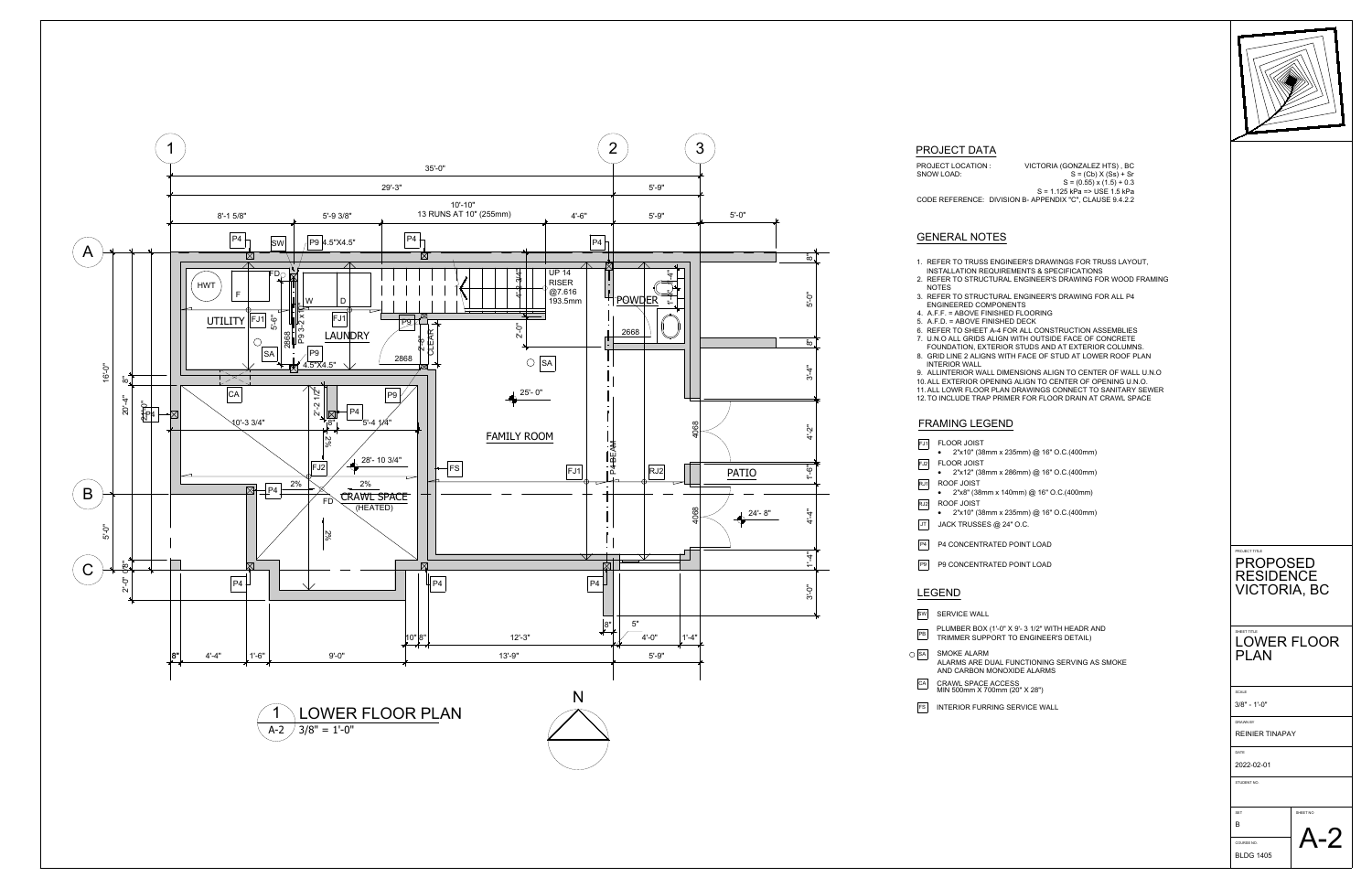

- SW SERVICE WALL PB PLUMBER BOX (1'-0" X 9'- 3 1/2" WITH HEADR AND<br>TRIMMER SUPPORT TO ENGINEER'S DETAIL) TRIMMER SUPPORT TO ENGINEER'S DETAIL)  $\overline{\bigcirc}$  SMOKE ALARM AND CARBON MONOXIDE ALARMS
- FS INTERIOR FURRING SERVICE WALL
- 1. REFER TO TRUSS ENGINEER'S DRAWINGS FOR TRUSS LAYOUT,
- INSTALLATION REQUIREMENTS & SPECIFICATIONS 2. REFER TO STRUCTURAL ENGINEER'S DRAWING FOR WOOD FRAMING NOTES
- 3. REFER TO STRUCTURAL ENGINEER'S DRAWING FOR ALL P4
- ENGINEERED COMPONENTS
- 4. A.F.F. = ABOVE FINISHED FLOORING
- 5. A.F.D. = ABOVE FINISHED DECK 6. REFER TO SHEET A-4 FOR ALL CONSTRUCTION ASSEMBLIES
- 7. U.N.O ALL GRIDS ALIGN WITH OUTSIDE FACE OF CONCRETE
- FOUNDATION, EXTERIOR STUDS AND AT EXTERIOR COLUMNS. 8. GRID LINE 2 ALIGNS WITH FACE OF STUD AT LOWER ROOF PLAN
- INTERIOR WALL 9. ALLINTERIOR WALL DIMENSIONS ALIGN TO CENTER OF WALL U.N.O
- 10.ALL EXTERIOR OPENING ALIGN TO CENTER OF OPENING U.N.O.
- 11.ALL LOWR FLOOR PLAN DRAWINGS CONNECT TO SANITARY SEWER
- 12.TO INCLUDE TRAP PRIMER FOR FLOOR DRAIN AT CRAWL SPACE

# GENERAL NOTES

# FRAMING LEGEND

- **FJ1** FLOOR JOIST · 2"x10" (38mm x 235mm) @ 16" O.C.(400mm) **FJ2** FLOOR JOIST RJ1 ROOF JOIST · 2"x8" (38mm x 140mm) @ 16" O.C.(400mm) RJ2 ROOF JOIST · 2"x10" (38mm x 235mm) @ 16" O.C.(400mm)  $JT$  JACK TRUSSES  $@$  24" O.C. P4 P4 CONCENTRATED POINT LOAD
- P9 P9 CONCENTRATED POINT LOAD

# LEGEND

ALARMS ARE DUAL FUNCTIONING SERVING AS SMOKE CA CRAWL SPACE ACCESS **CALL 2018** MIN 500mm X 700mm (20" X 28")

PROJECT LOCATION : VICTORIA (GONZALEZ HTS) , BC SNOW LOAD:  $S = (Cb) \times (Ss) + Sr$  $S = (0.55)(x(1.5) + 0.3)$ S = 1.125 kPa => USE 1.5 kPa CODE REFERENCE: DIVISION B- APPENDIX "C", CLAUSE 9.4.2.2

# PROJECT DATA

SCALE

DRAWN BY

DATE

STUDENT NO.

PROJECT TITLE PROPOSED

| COURSE NO. |  |
|------------|--|
| BLDG 1405  |  |



RESIDENCE

# VICTORIA, BC

# SHEET TITLE LOWER FLOOR PLAN

2022-02-01

REINIER TINAPAY

3/8" - 1'-0"